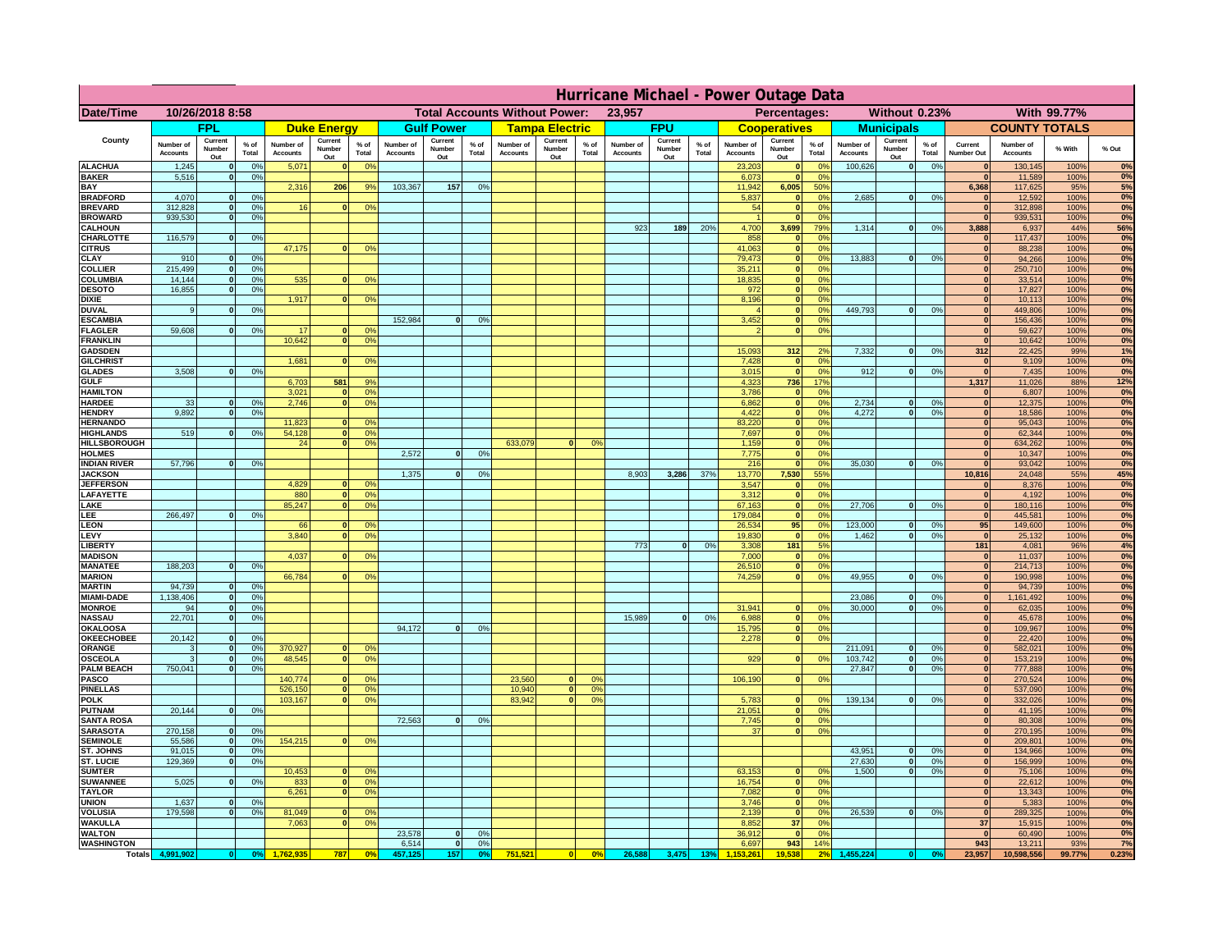|                                      | Hurricane Michael - Power Outage Data |                              |                      |                              |                                                |                                  |                       |                          |                 |                                              |                          |                 |                              |                          |               |                              |                          |                                               |                              |                          |                 |                              |                              |               |             |
|--------------------------------------|---------------------------------------|------------------------------|----------------------|------------------------------|------------------------------------------------|----------------------------------|-----------------------|--------------------------|-----------------|----------------------------------------------|--------------------------|-----------------|------------------------------|--------------------------|---------------|------------------------------|--------------------------|-----------------------------------------------|------------------------------|--------------------------|-----------------|------------------------------|------------------------------|---------------|-------------|
| Date/Time                            | 10/26/2018 8:58                       |                              |                      |                              | <b>Total Accounts Without Power:</b><br>23,957 |                                  |                       |                          |                 | Without 0.23%<br>With 99.77%<br>Percentages: |                          |                 |                              |                          |               |                              |                          |                                               |                              |                          |                 |                              |                              |               |             |
|                                      |                                       | <b>FPL</b>                   |                      |                              | <b>Duke Energy</b>                             |                                  |                       | <b>Gulf Power</b>        |                 |                                              | <b>Tampa Electric</b>    |                 |                              | <b>FPU</b>               |               |                              | <b>Cooperatives</b>      |                                               |                              | <b>Municipals</b>        |                 |                              | <b>COUNTY TOTALS</b>         |               |             |
| County                               | Number of<br><b>Accounts</b>          | Current<br>Number<br>Out     | $%$ of<br>Total      | Number of<br><b>Accounts</b> | Current<br><b>Number</b><br>Out                | $%$ of<br>Total                  | Number of<br>Accounts | Current<br>Number<br>Out | $%$ of<br>Total | Number of<br><b>Accounts</b>                 | Current<br>Number<br>Out | $%$ of<br>Total | Number of<br><b>Accounts</b> | Current<br>Number<br>Out | % of<br>Total | Number of<br><b>Accounts</b> | Current<br>Number<br>Out | $%$ of<br>Total                               | Number of<br><b>Accounts</b> | Current<br>Number<br>Out | $%$ of<br>Total | Current<br>Number Out        | Number of<br><b>Accounts</b> | % With        | % Out       |
| <b>ALACHUA</b><br><b>BAKER</b>       | 1,245<br>5,516                        | $\mathbf{0}$<br>$\mathbf{0}$ | 0%<br>0%             | 5,071                        |                                                | 0 <sup>9</sup>                   |                       |                          |                 |                                              |                          |                 |                              |                          |               | 23,203<br>6,073              | $\bf{0}$<br>$\bf{0}$     | $^{\circ}$<br>0 <sup>9</sup>                  | 100,626                      | 0                        | 0%              | $\mathbf{0}$<br>$\mathbf{0}$ | 130,145<br>11,589            | 100%<br>100%  | 0%<br>0%    |
| BAY                                  |                                       |                              |                      | 2,316                        | 206                                            | 9%                               | 103,367               | 157                      | 0%              |                                              |                          |                 |                              |                          |               | 11,942                       | 6,005                    | 50%                                           |                              |                          |                 | 6,368                        | 117,625                      | 95%           | 5%          |
| <b>BRADFORD</b><br><b>BREVARD</b>    | 4,070<br>312.828                      | $\Omega$<br>$\mathbf{0}$     | 0%<br>0 <sup>9</sup> | 16                           |                                                | 0 <sup>o</sup>                   |                       |                          |                 |                                              |                          |                 |                              |                          |               | 5,837<br>54                  | 0 <br> 0                 | 0 <sup>9</sup><br>0 <sup>9</sup>              | 2,685                        | 0                        | 0%              | $\Omega$<br> 0               | 12,592<br>312,898            | 100%<br>100%  | 0%<br>0%    |
| <b>BROWARD</b>                       | 939.530                               | $\mathbf{0}$                 | 0%                   |                              |                                                |                                  |                       |                          |                 |                                              |                          |                 |                              |                          |               |                              | 0                        | 0%                                            |                              |                          |                 | 0                            | 939,531                      | 100%          | 0%          |
| <b>CALHOUN</b>                       |                                       |                              |                      |                              |                                                |                                  |                       |                          |                 |                                              |                          |                 | 923                          | 189                      | 20%           | 4,700                        | 3,699                    | 79%                                           | 1,314                        | 0                        | 0%              | 3,888<br>$\mathbf{0}$        | 6,937                        | 44%           | 56%<br>0%   |
| CHARLOTTE<br><b>CITRUS</b>           | 116,579                               | $\mathbf{0}$                 | 0%                   | 47,175                       |                                                | 0 <sup>o</sup>                   |                       |                          |                 |                                              |                          |                 |                              |                          |               | 858<br>41.063                | 0 <br> 0                 | 0%<br>0 <sup>9</sup>                          |                              |                          |                 | $\mathbf{0}$                 | 117,437<br>88.238            | 100%<br>100%  | 0%          |
| CLAY                                 | 910                                   |                              | 0 <sup>9</sup>       |                              |                                                |                                  |                       |                          |                 |                                              |                          |                 |                              |                          |               | 79,473                       | 0                        | 0%                                            | 13,883                       | 0                        | 0%              | $\mathbf{0}$                 | 94,266                       | 100%          | 0%          |
| <b>COLLIER</b><br>COLUMBIA           | 215,499<br>14,144                     |                              | 0%<br>0%             | 535                          |                                                | 0 <sup>o</sup>                   |                       |                          |                 |                                              |                          |                 |                              |                          |               | 35,211<br>18,835             | 0 <br> 0                 | 0 <sup>9</sup><br>0 <sup>9</sup>              |                              |                          |                 | $\mathbf{0}$<br>$\mathbf{0}$ | 250,710<br>33,514            | 100%<br>100%  | 0%<br>0%    |
| <b>DESOTO</b>                        | 16,855                                |                              | 0%                   |                              |                                                |                                  |                       |                          |                 |                                              |                          |                 |                              |                          |               | 972                          | 0                        | 0 <sup>9</sup>                                |                              |                          |                 |                              | 17,827                       | 100%          | 0%          |
| <b>DIXIE</b><br><b>DUVAL</b>         | 9                                     |                              | 0 <sup>9</sup>       | 1,917                        |                                                | 0 <sup>o</sup>                   |                       |                          |                 |                                              |                          |                 |                              |                          |               | 8,196                        | 0 <br> 0                 | 0 <sup>9</sup><br>0 <sup>9</sup>              | 449,793                      | 0                        | 0%              | $\mathbf{0}$                 | 10,113<br>449,806            | 100%<br>100%  | 0%<br>0%    |
| <b>ESCAMBIA</b>                      |                                       |                              |                      |                              |                                                |                                  | 152,984               | $\Omega$                 | 0 <sup>9</sup>  |                                              |                          |                 |                              |                          |               | 3,452                        | $\mathbf{0}$             | 0 <sup>o</sup>                                |                              |                          |                 | $\mathbf{0}$                 | 156,436                      | 100%          | $0\%$       |
| <b>FLAGLER</b>                       | 59,608                                | $\mathbf{0}$                 | 0 <sup>9</sup>       | 17                           |                                                | 0 <sup>9</sup>                   |                       |                          |                 |                                              |                          |                 |                              |                          |               |                              | 0                        | 0 <sup>9</sup>                                |                              |                          |                 | $\mathbf{0}$<br>$\mathbf{0}$ | 59,627                       | 100%          | 0%<br>0%    |
| <b>FRANKLIN</b><br><b>GADSDEN</b>    |                                       |                              |                      | 10,642                       |                                                | 0 <sup>9</sup>                   |                       |                          |                 |                                              |                          |                 |                              |                          |               | 15,093                       | 312                      | 2%                                            | 7,332                        | 0                        | 0%              | 312                          | 10,642<br>22,425             | 100%<br>99%   | 1%          |
| <b>GILCHRIST</b>                     |                                       |                              |                      | 1.681                        |                                                | 0 <sup>9</sup>                   |                       |                          |                 |                                              |                          |                 |                              |                          |               | 7,428                        | 0                        | 0 <sup>9</sup>                                |                              |                          |                 | 0                            | 9,109                        | 100%          | 0%          |
| <b>GLADES</b><br><b>GULF</b>         | 3.508                                 |                              | 0%                   | 6,703                        | 581                                            | 9%                               |                       |                          |                 |                                              |                          |                 |                              |                          |               | 3,015<br>4,323               | 0 <br>736                | 0%<br>17%                                     | 912                          | 0                        | 0%              | 0 <br>1,317                  | 7,435<br>11,026              | 100%<br>88%   | 0%<br>12%   |
| <b>HAMILTON</b>                      |                                       |                              |                      | 3,021                        |                                                | 0%                               |                       |                          |                 |                                              |                          |                 |                              |                          |               | 3,786                        | 0                        | 0%                                            |                              |                          |                 | 0                            | 6,807                        | 100%          | 0%          |
| <b>HARDEE</b><br><b>HENDRY</b>       | 33<br>9.892                           | $\mathbf{0}$<br>$\Omega$     | 0%<br>0 <sup>9</sup> | 2,746                        |                                                | 0 <sup>9</sup>                   |                       |                          |                 |                                              |                          |                 |                              |                          |               | 6,862<br>4,422               |                          | 0 <br>0%<br> 0 <br>0%                         | 2,734<br>4.272               | $\mathbf{0}$<br> 0       | 0%<br>0%        | 0 <br> 0                     | 12,375<br>18,586             | 100%<br>100%  | 0%<br>0%    |
| <b>HERNANDO</b>                      |                                       |                              |                      | 11,823                       |                                                | 0 <sup>o</sup>                   |                       |                          |                 |                                              |                          |                 |                              |                          |               | 83,220                       |                          | 0 <br>0 <sup>9</sup>                          |                              |                          |                 | 0                            | 95,043                       | 100%          | 0%          |
| <b>HIGHLANDS</b>                     | 519                                   | $\Omega$                     | 0%                   | 54,128                       |                                                | 0%                               |                       |                          |                 |                                              |                          |                 |                              |                          |               | 7,697                        |                          | 0 <br>0 <sup>9</sup>                          |                              |                          |                 | 0                            | 62,344                       | 100%          | 0%<br>0%    |
| <b>HILLSBOROUGH</b><br><b>HOLMES</b> |                                       |                              |                      | 24                           |                                                | 0 <sup>o</sup>                   | 2,572                 | $\Omega$                 | 0 <sup>9</sup>  | 633,079                                      | $\Omega$                 | 0 <sup>9</sup>  |                              |                          |               | 1,159<br>7,775               |                          | 0 <br>0 <sup>9</sup><br> 0 <br>0 <sup>9</sup> |                              |                          |                 | 0 <br>$\mathbf{0}$           | 634,262<br>10,347            | 100%<br>100%  | 0%          |
| <b>INDIAN RIVER</b>                  | 57,796                                |                              | 0%                   |                              |                                                |                                  |                       |                          |                 |                                              |                          |                 |                              |                          |               | 216                          | 0                        | 0 <sup>9</sup>                                | 35.030                       | 0                        | 0%              | $\mathbf{0}$                 | 93,042                       | 100%          | 0%          |
| <b>JACKSON</b><br><b>JEFFERSON</b>   |                                       |                              |                      | 4.829                        |                                                | 0 <sup>9</sup>                   | 1,375                 | $\Omega$                 | 0 <sup>9</sup>  |                                              |                          |                 | 8,903                        | 3,286                    | 37%           | 13,770<br>3.547              | 7,530<br>$\mathbf{0}$    | 55%<br>0 <sup>9</sup>                         |                              |                          |                 | 10,816<br>$\mathbf{0}$       | 24,048<br>8,376              | 55%<br>100%   | 45%<br>0%   |
| LAFAYETTE                            |                                       |                              |                      | 880                          | n.                                             | 0 <sup>9</sup>                   |                       |                          |                 |                                              |                          |                 |                              |                          |               | 3.312                        |                          | $\mathbf{0}$<br>0%                            |                              |                          |                 | 0                            | 4.192                        | 100%          | 0%          |
| LAKE<br>LEE                          | 266,497                               |                              | 0%                   | 85,247                       |                                                | 0%                               |                       |                          |                 |                                              |                          |                 |                              |                          |               | 67,163<br>179,084            |                          | 0 <br>0%<br> 0 <br>0%                         | 27,706                       | $\mathbf{0}$             | 0%              | 0 <br> 0                     | 180,116<br>445,581           | 100%<br>100%  | 0%<br>0%    |
| <b>LEON</b>                          |                                       |                              |                      | 66                           |                                                | 0 <sup>9</sup>                   |                       |                          |                 |                                              |                          |                 |                              |                          |               | 26,534                       | 95 <sup>1</sup>          | 0%                                            | 123,000                      | $\mathbf{0}$             | 0%              | 95                           | 149,600                      | 100%          | 0%          |
| LEVY                                 |                                       |                              |                      | 3,840                        |                                                | 0 <sup>9</sup>                   |                       |                          |                 |                                              |                          |                 | 773                          | $\Omega$                 | 0%            | 19,830<br>3,308              | 0 <br>181                | 0%<br>5%                                      | 1,462                        | $\mathbf{0}$             | 0%              | 0 <br>181                    | 25,132                       | 100%          | 0%<br>4%    |
| <b>LIBERT</b><br><b>MADISON</b>      |                                       |                              |                      | 4,037                        |                                                | 0 <sup>o</sup>                   |                       |                          |                 |                                              |                          |                 |                              |                          |               | 7,000                        |                          | 0%<br> 0                                      |                              |                          |                 | 0                            | 4,081<br>11,037              | 96%<br>100%   | 0%          |
| <b>MANATEE</b>                       | 188,203                               | $\mathbf{0}$                 | 0 <sup>9</sup>       |                              |                                                |                                  |                       |                          |                 |                                              |                          |                 |                              |                          |               | 26,510                       |                          | 0%<br> 0                                      |                              |                          |                 | 0                            | 214,713                      | 100%          | 0%          |
| <b>MARION</b><br><b>MARTIN</b>       | 94,739                                | $\mathbf{0}$                 | 0%                   | 66,784                       |                                                | 0 <sup>9</sup>                   |                       |                          |                 |                                              |                          |                 |                              |                          |               | 74,259                       | $\Omega$                 | 0%                                            | 49,955                       | 0                        | 0%              | 0 <br> 0                     | 190,998<br>94,739            | 100%<br>100%  | 0%<br>0%    |
| <b>MIAMI-DADE</b>                    | 1,138,406                             | 0                            | 0%                   |                              |                                                |                                  |                       |                          |                 |                                              |                          |                 |                              |                          |               |                              |                          |                                               | 23,086                       | 0                        | 0%              | 0                            | 1,161,492                    | 100%          | 0%          |
| <b>MONROE</b><br><b>NASSAU</b>       | 94<br>22,701                          | -ol<br> 0                    | 0%<br>0%             |                              |                                                |                                  |                       |                          |                 |                                              |                          |                 | 15,989                       | 0                        | 0%            | 31,941<br>6,988              | $\mathbf{0}$             | 0 <sup>9</sup><br> 0 <br>0%                   | 30,000                       | 0                        | 0%              | $\mathbf{0}$<br> 0           | 62,035<br>45,678             | 100%<br>100%  | 0%<br>0%    |
| <b>OKALOOSA</b>                      |                                       |                              |                      |                              |                                                |                                  | 94,172                | 0                        | 0%              |                                              |                          |                 |                              |                          |               | 15,795                       |                          | 0%<br> 0                                      |                              |                          |                 | 0                            | 109,967                      | 100%          | 0%          |
| <b>OKEECHOBEE</b><br>ORANGE          | 20,142<br>3                           | 0<br> 0                      | 0%<br>0%             | 370,927                      |                                                | 0 <sup>9</sup>                   |                       |                          |                 |                                              |                          |                 |                              |                          |               | 2,278                        |                          | 0%<br> 0                                      | 211,091                      | 0                        | 0%              | 0 <br> 0                     | 22,420<br>582,021            | 100%<br>100%  | 0%<br>0%    |
| <b>OSCEOLA</b>                       | 3                                     | 0                            | 0%                   | 48,545                       | $\mathbf{0}$                                   | 0%                               |                       |                          |                 |                                              |                          |                 |                              |                          |               | 929                          |                          | 0 <br>0%                                      | 103,742                      | 0                        | 0%              | 0                            | 153,219                      | 100%          | 0%          |
| <b>PALM BEACH</b>                    | 750,041                               | 0                            | 0%                   |                              |                                                | 0 <sup>9</sup>                   |                       |                          |                 |                                              | $\mathbf{0}$             | O <sup>o</sup>  |                              |                          |               |                              |                          |                                               | 27,847                       | 0                        | 0%              | 0                            | 777,888                      | 100%          | 0%<br>0%    |
| <b>PASCO</b><br><b>PINELLAS</b>      |                                       |                              |                      | 140,774<br>526,150           | $\mathbf{0}$                                   | 0%                               |                       |                          |                 | 23,560<br>10,940                             | 0                        | 0 <sup>9</sup>  |                              |                          |               | 106,190                      |                          | 0%<br> 0                                      |                              |                          |                 | 0 <br> 0                     | 270,524<br>537,090           | 100%<br>100%  | 0%          |
| <b>POLK</b>                          |                                       |                              |                      | 103,167                      | $\Omega$                                       | 0 <sup>9</sup>                   |                       |                          |                 | 83,942                                       | 0                        | 0 <sup>o</sup>  |                              |                          |               | 5,783                        |                          | 0 <br>$^{\circ}$                              | 139,134                      | 0                        | 0%              | 0                            | 332,026                      | 100%          | 0%          |
| <b>PUTNAM</b><br><b>SANTA ROSA</b>   | 20,144                                | 0                            | 0%                   |                              |                                                |                                  | 72,563                | 0                        | 0%              |                                              |                          |                 |                              |                          |               | 21,051<br>7,745              |                          | 0 <sup>9</sup><br> 0 <br>0 <sup>9</sup><br> 0 |                              |                          |                 | 0 <br>$\Omega$               | 41,195<br>80,308             | 100%<br>100%  | 0%<br>0%    |
| <b>SARASOTA</b>                      | 270,158                               | 0                            | 0 <sup>9</sup>       |                              |                                                |                                  |                       |                          |                 |                                              |                          |                 |                              |                          |               | 37                           |                          | 0%<br> 0                                      |                              |                          |                 | $\mathbf{0}$                 | 270,195                      | 100%          | 0%          |
| <b>SEMINOLE</b><br>ST. JOHNS         | 55,586<br>91,015                      | 0 <br> 0                     | 0 <sup>9</sup><br>0% | 154,215                      | $\mathbf{0}$                                   | 0 <sup>9</sup>                   |                       |                          |                 |                                              |                          |                 |                              |                          |               |                              |                          |                                               | 43,951                       | 0                        | 0%              | 0 <br>$\mathbf{0}$           | 209,801<br>134,966           | 100%<br>100%  | 0%<br>0%    |
| ST. LUCIE                            | 129,369                               | $\mathbf{0}$                 | 0%                   |                              |                                                |                                  |                       |                          |                 |                                              |                          |                 |                              |                          |               |                              |                          |                                               | 27,630                       | 0                        | 0%              | $\mathbf{0}$                 | 156,999                      | 100%          | 0%          |
| <b>SUMTER</b>                        |                                       |                              |                      | 10,453                       |                                                | 0 <sup>9</sup>                   |                       |                          |                 |                                              |                          |                 |                              |                          |               | 63,153                       |                          | 0 <sup>9</sup><br>$\mathbf{0}$                | 1.500                        | 0                        | 0%              | 0                            | 75,106                       | 100%          | 0%          |
| <b>SUWANNEE</b><br><b>TAYLOR</b>     | 5,025                                 | $\Omega$                     | 0%                   | 833<br>6,261                 | $\mathbf{0}$                                   | 0 <sup>9</sup><br>0%             |                       |                          |                 |                                              |                          |                 |                              |                          |               | 16,754<br>7,082              | 0                        | 0 <br>0%<br>0%                                |                              |                          |                 | $\mathbf{0}$<br> 0           | 22,612<br>13,343             | 100%<br>100%  | 0%<br>0%    |
| <b>UNION</b>                         | 1.637                                 | $\mathbf{0}$                 | 0%                   |                              |                                                |                                  |                       |                          |                 |                                              |                          |                 |                              |                          |               | 3.746                        |                          | 0%<br> 0                                      |                              |                          |                 | $\mathbf{0}$                 | 5,383                        | 100%          | $0\%$       |
| <b>VOLUSIA</b><br><b>WAKULLA</b>     | 179.598                               | $\mathbf{0}$                 | 0%                   | 81,049<br>7,063              |                                                | 0 <sup>9</sup><br>0 <sup>o</sup> |                       |                          |                 |                                              |                          |                 |                              |                          |               | 2.139<br>8,852               | 37                       | 0 <br>0%<br>0%                                | 26.539                       | 0                        | 0%              | 0 <br>37                     | 289,325<br>15,915            | 100%<br>100%  | 0%<br>0%    |
| <b>WALTON</b>                        |                                       |                              |                      |                              |                                                |                                  | 23,578                | 0                        | 0 <sup>9</sup>  |                                              |                          |                 |                              |                          |               | 36,912                       | 0                        | 0%                                            |                              |                          |                 | 0                            | 60,490                       | 100%          | 0%          |
| <b>WASHINGTON</b><br><b>Totals</b>   | 4,991,902                             | 0                            | O <sup>o</sup>       |                              | 787                                            | 0 <sup>5</sup>                   | 6,514<br>457,125      | 0 <br>157                | 0%<br>0%        | 751,521                                      | 0                        | 0%              | 26,588                       | 3,475                    | 13%           | 6,697                        | 943<br>9,538             | 14%                                           | 455,224                      |                          | 0 <sup>o</sup>  | 943<br>23,957                | 13,211<br>10,598,556         | 93%<br>99.77% | 7%<br>0.23% |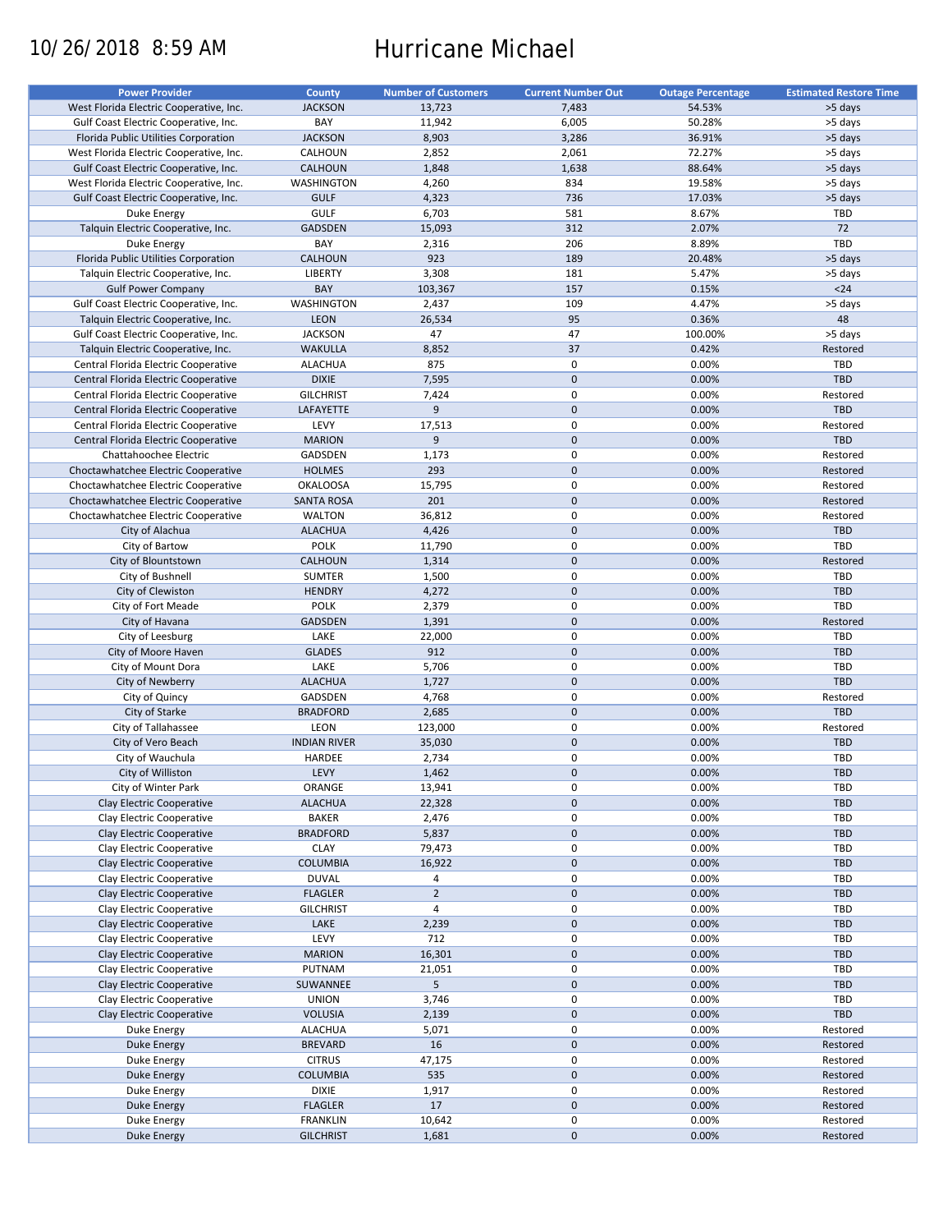# 10/26/2018 8:59 AM Hurricane Michael

| <b>Power Provider</b>                   | <b>County</b>       | <b>Number of Customers</b> | <b>Current Number Out</b> | <b>Outage Percentage</b> | <b>Estimated Restore Time</b> |
|-----------------------------------------|---------------------|----------------------------|---------------------------|--------------------------|-------------------------------|
| West Florida Electric Cooperative, Inc. | <b>JACKSON</b>      | 13,723                     | 7,483                     | 54.53%                   | >5 days                       |
| Gulf Coast Electric Cooperative, Inc.   | BAY                 | 11,942                     | 6,005                     | 50.28%                   | >5 days                       |
| Florida Public Utilities Corporation    | <b>JACKSON</b>      | 8,903                      | 3,286                     | 36.91%                   | >5 days                       |
|                                         |                     |                            |                           |                          |                               |
| West Florida Electric Cooperative, Inc. | CALHOUN             | 2,852                      | 2,061                     | 72.27%                   | >5 days                       |
| Gulf Coast Electric Cooperative, Inc.   | <b>CALHOUN</b>      | 1,848                      | 1,638                     | 88.64%                   | >5 days                       |
| West Florida Electric Cooperative, Inc. | <b>WASHINGTON</b>   | 4,260                      | 834                       | 19.58%                   | >5 days                       |
| Gulf Coast Electric Cooperative, Inc.   | <b>GULF</b>         | 4,323                      | 736                       | 17.03%                   | >5 days                       |
| Duke Energy                             | <b>GULF</b>         | 6,703                      | 581                       | 8.67%                    | <b>TBD</b>                    |
| Talquin Electric Cooperative, Inc.      | <b>GADSDEN</b>      | 15,093                     | 312                       | 2.07%                    | 72                            |
| Duke Energy                             | BAY                 | 2,316                      | 206                       | 8.89%                    | TBD                           |
| Florida Public Utilities Corporation    | <b>CALHOUN</b>      | 923                        | 189                       | 20.48%                   | >5 days                       |
| Talquin Electric Cooperative, Inc.      | <b>LIBERTY</b>      | 3,308                      | 181                       | 5.47%                    | >5 days                       |
| <b>Gulf Power Company</b>               | BAY                 | 103,367                    | 157                       | 0.15%                    | $24$                          |
|                                         |                     |                            |                           |                          |                               |
| Gulf Coast Electric Cooperative, Inc.   | <b>WASHINGTON</b>   | 2,437                      | 109                       | 4.47%                    | >5 days                       |
| Talquin Electric Cooperative, Inc.      | <b>LEON</b>         | 26,534                     | 95                        | 0.36%                    | 48                            |
| Gulf Coast Electric Cooperative, Inc.   | <b>JACKSON</b>      | 47                         | 47                        | 100.00%                  | >5 days                       |
| Talquin Electric Cooperative, Inc.      | <b>WAKULLA</b>      | 8,852                      | 37                        | 0.42%                    | Restored                      |
| Central Florida Electric Cooperative    | <b>ALACHUA</b>      | 875                        | $\mathbf 0$               | 0.00%                    | TBD                           |
| Central Florida Electric Cooperative    | <b>DIXIE</b>        | 7,595                      | $\mathbf 0$               | 0.00%                    | <b>TBD</b>                    |
| Central Florida Electric Cooperative    | <b>GILCHRIST</b>    | 7,424                      | $\mathbf 0$               | 0.00%                    | Restored                      |
| Central Florida Electric Cooperative    | LAFAYETTE           | 9                          | $\mathbf 0$               | 0.00%                    | TBD                           |
| Central Florida Electric Cooperative    | LEVY                | 17,513                     | $\pmb{0}$                 | 0.00%                    | Restored                      |
|                                         |                     | 9                          | $\mathbf 0$               |                          | TBD                           |
| Central Florida Electric Cooperative    | <b>MARION</b>       |                            |                           | 0.00%                    |                               |
| Chattahoochee Electric                  | <b>GADSDEN</b>      | 1,173                      | $\mathbf 0$               | 0.00%                    | Restored                      |
| Choctawhatchee Electric Cooperative     | <b>HOLMES</b>       | 293                        | $\mathbf 0$               | 0.00%                    | Restored                      |
| Choctawhatchee Electric Cooperative     | <b>OKALOOSA</b>     | 15,795                     | $\mathbf 0$               | 0.00%                    | Restored                      |
| Choctawhatchee Electric Cooperative     | <b>SANTA ROSA</b>   | 201                        | $\mathbf 0$               | 0.00%                    | Restored                      |
| Choctawhatchee Electric Cooperative     | <b>WALTON</b>       | 36,812                     | $\mathbf 0$               | 0.00%                    | Restored                      |
| City of Alachua                         | <b>ALACHUA</b>      | 4,426                      | $\mathbf 0$               | 0.00%                    | TBD                           |
| City of Bartow                          | <b>POLK</b>         | 11,790                     | $\pmb{0}$                 | 0.00%                    | TBD                           |
| City of Blountstown                     | <b>CALHOUN</b>      | 1,314                      | $\mathbf 0$               | 0.00%                    | Restored                      |
|                                         |                     |                            |                           |                          |                               |
| City of Bushnell                        | <b>SUMTER</b>       | 1,500                      | $\mathbf 0$               | 0.00%                    | <b>TBD</b>                    |
| City of Clewiston                       | <b>HENDRY</b>       | 4,272                      | $\mathbf 0$               | 0.00%                    | <b>TBD</b>                    |
| City of Fort Meade                      | <b>POLK</b>         | 2,379                      | $\pmb{0}$                 | 0.00%                    | TBD                           |
| City of Havana                          | <b>GADSDEN</b>      | 1,391                      | $\mathbf 0$               | 0.00%                    | Restored                      |
| City of Leesburg                        | LAKE                | 22,000                     | 0                         | 0.00%                    | TBD                           |
| City of Moore Haven                     | <b>GLADES</b>       | 912                        | $\mathbf 0$               | 0.00%                    | <b>TBD</b>                    |
| City of Mount Dora                      | LAKE                | 5,706                      | $\pmb{0}$                 | 0.00%                    | TBD                           |
| City of Newberry                        | <b>ALACHUA</b>      | 1,727                      | $\mathbf 0$               | 0.00%                    | TBD                           |
| City of Quincy                          | GADSDEN             | 4,768                      | 0                         | 0.00%                    | Restored                      |
|                                         |                     |                            |                           |                          |                               |
| City of Starke                          | <b>BRADFORD</b>     | 2,685                      | $\mathbf 0$               | 0.00%                    | TBD                           |
| City of Tallahassee                     | LEON                | 123,000                    | $\pmb{0}$                 | 0.00%                    | Restored                      |
| City of Vero Beach                      | <b>INDIAN RIVER</b> | 35,030                     | $\mathbf 0$               | 0.00%                    | TBD                           |
| City of Wauchula                        | HARDEE              | 2,734                      | $\pmb{0}$                 | 0.00%                    | <b>TBD</b>                    |
| City of Williston                       | LEVY                | 1,462                      | $\mathbf{0}$              | 0.00%                    | <b>TBD</b>                    |
| City of Winter Park                     | ORANGE              | 13,941                     | 0                         | 0.00%                    | <b>TBD</b>                    |
| Clay Electric Cooperative               | <b>ALACHUA</b>      | 22,328                     | $\pmb{0}$                 | 0.00%                    | TBD                           |
| Clay Electric Cooperative               | <b>BAKER</b>        | 2,476                      | 0                         | 0.00%                    | <b>TBD</b>                    |
| Clay Electric Cooperative               | <b>BRADFORD</b>     | 5,837                      | $\mathbf 0$               | 0.00%                    | <b>TBD</b>                    |
|                                         |                     |                            |                           |                          |                               |
| Clay Electric Cooperative               | <b>CLAY</b>         | 79,473                     | $\pmb{0}$                 | 0.00%                    | <b>TBD</b>                    |
| Clay Electric Cooperative               | COLUMBIA            | 16,922                     | $\pmb{0}$                 | 0.00%                    | <b>TBD</b>                    |
| Clay Electric Cooperative               | <b>DUVAL</b>        | 4                          | 0                         | 0.00%                    | <b>TBD</b>                    |
| Clay Electric Cooperative               | <b>FLAGLER</b>      | $\overline{2}$             | $\mathbf 0$               | 0.00%                    | <b>TBD</b>                    |
| Clay Electric Cooperative               | <b>GILCHRIST</b>    | $\overline{4}$             | $\pmb{0}$                 | 0.00%                    | <b>TBD</b>                    |
| Clay Electric Cooperative               | LAKE                | 2,239                      | $\pmb{0}$                 | 0.00%                    | TBD                           |
| Clay Electric Cooperative               | LEVY                | 712                        | $\pmb{0}$                 | 0.00%                    | TBD                           |
| Clay Electric Cooperative               | <b>MARION</b>       | 16,301                     | $\pmb{0}$                 | 0.00%                    | <b>TBD</b>                    |
| Clay Electric Cooperative               | PUTNAM              |                            | $\pmb{0}$                 |                          | <b>TBD</b>                    |
|                                         |                     | 21,051                     |                           | 0.00%                    |                               |
| Clay Electric Cooperative               | SUWANNEE            | 5                          | $\pmb{0}$                 | 0.00%                    | <b>TBD</b>                    |
| Clay Electric Cooperative               | <b>UNION</b>        | 3,746                      | $\pmb{0}$                 | 0.00%                    | <b>TBD</b>                    |
| Clay Electric Cooperative               | <b>VOLUSIA</b>      | 2,139                      | $\pmb{0}$                 | 0.00%                    | <b>TBD</b>                    |
| Duke Energy                             | <b>ALACHUA</b>      | 5,071                      | $\pmb{0}$                 | 0.00%                    | Restored                      |
| <b>Duke Energy</b>                      | <b>BREVARD</b>      | 16                         | $\pmb{0}$                 | 0.00%                    | Restored                      |
| Duke Energy                             | <b>CITRUS</b>       | 47,175                     | $\pmb{0}$                 | 0.00%                    | Restored                      |
| <b>Duke Energy</b>                      | COLUMBIA            | 535                        | $\pmb{0}$                 | 0.00%                    | Restored                      |
| Duke Energy                             | <b>DIXIE</b>        | 1,917                      | 0                         | 0.00%                    | Restored                      |
|                                         |                     | 17                         |                           | 0.00%                    | Restored                      |
| Duke Energy                             | <b>FLAGLER</b>      |                            | $\pmb{0}$                 |                          |                               |
| Duke Energy                             | <b>FRANKLIN</b>     | 10,642                     | 0                         | 0.00%                    | Restored                      |
| Duke Energy                             | <b>GILCHRIST</b>    | 1,681                      | $\pmb{0}$                 | 0.00%                    | Restored                      |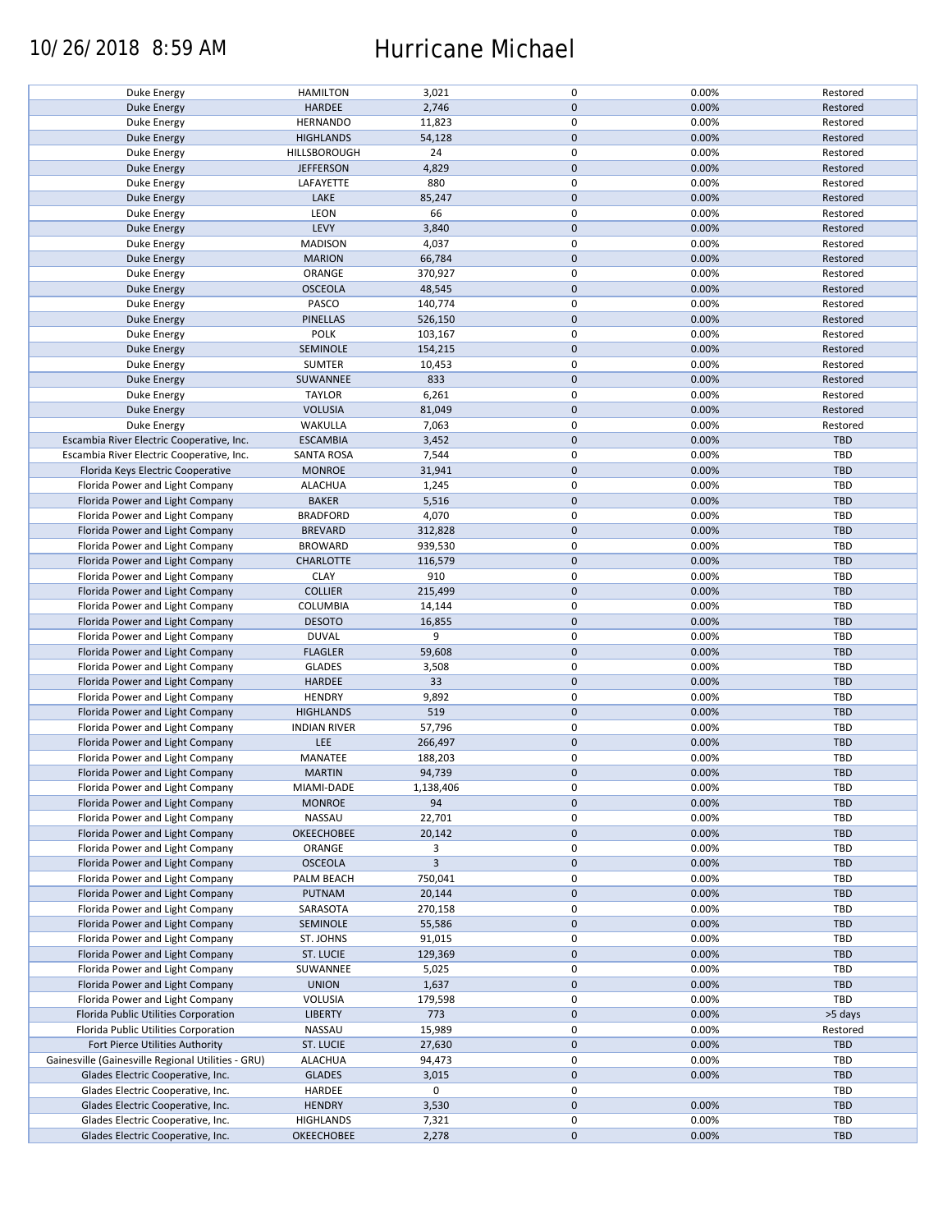### 10/26/2018 8:59 AM Hurricane Michael

| Duke Energy                                        | <b>HAMILTON</b>     | 3,021     | 0            | 0.00% | Restored   |
|----------------------------------------------------|---------------------|-----------|--------------|-------|------------|
|                                                    |                     |           |              |       |            |
| <b>Duke Energy</b>                                 | HARDEE              | 2,746     | $\mathbf{0}$ | 0.00% | Restored   |
| Duke Energy                                        | <b>HERNANDO</b>     | 11,823    | $\mathsf 0$  | 0.00% | Restored   |
| Duke Energy                                        | <b>HIGHLANDS</b>    | 54,128    | $\mathbf 0$  | 0.00% | Restored   |
| Duke Energy                                        | HILLSBOROUGH        | 24        | $\mathsf 0$  | 0.00% | Restored   |
|                                                    |                     |           |              |       |            |
| Duke Energy                                        | <b>JEFFERSON</b>    | 4,829     | $\mathbf 0$  | 0.00% | Restored   |
| <b>Duke Energy</b>                                 | LAFAYETTE           | 880       | $\mathsf 0$  | 0.00% | Restored   |
| <b>Duke Energy</b>                                 | LAKE                | 85,247    | $\mathbf 0$  | 0.00% | Restored   |
| Duke Energy                                        | LEON                | 66        | $\mathsf 0$  | 0.00% | Restored   |
| <b>Duke Energy</b>                                 | LEVY                | 3,840     | $\mathbf 0$  | 0.00% | Restored   |
|                                                    |                     |           |              |       |            |
| Duke Energy                                        | <b>MADISON</b>      | 4,037     | $\mathsf 0$  | 0.00% | Restored   |
| <b>Duke Energy</b>                                 | <b>MARION</b>       | 66,784    | $\mathbf 0$  | 0.00% | Restored   |
| Duke Energy                                        | ORANGE              | 370,927   | $\pmb{0}$    | 0.00% | Restored   |
|                                                    | <b>OSCEOLA</b>      | 48,545    | $\mathbf 0$  | 0.00% | Restored   |
| <b>Duke Energy</b>                                 |                     |           |              |       |            |
| Duke Energy                                        | PASCO               | 140,774   | $\mathsf 0$  | 0.00% | Restored   |
| <b>Duke Energy</b>                                 | <b>PINELLAS</b>     | 526,150   | $\mathbf 0$  | 0.00% | Restored   |
| Duke Energy                                        | <b>POLK</b>         | 103,167   | $\mathsf 0$  | 0.00% | Restored   |
| <b>Duke Energy</b>                                 | <b>SEMINOLE</b>     | 154,215   | $\mathbf 0$  | 0.00% | Restored   |
|                                                    |                     |           |              |       |            |
| Duke Energy                                        | <b>SUMTER</b>       | 10,453    | $\mathsf 0$  | 0.00% | Restored   |
| Duke Energy                                        | SUWANNEE            | 833       | $\mathbf 0$  | 0.00% | Restored   |
| Duke Energy                                        | <b>TAYLOR</b>       | 6,261     | $\mathsf 0$  | 0.00% | Restored   |
|                                                    | <b>VOLUSIA</b>      | 81,049    | $\mathbf 0$  | 0.00% | Restored   |
| <b>Duke Energy</b>                                 |                     |           |              |       |            |
| Duke Energy                                        | WAKULLA             | 7,063     | $\mathsf 0$  | 0.00% | Restored   |
| Escambia River Electric Cooperative, Inc.          | <b>ESCAMBIA</b>     | 3,452     | $\mathbf 0$  | 0.00% | TBD        |
| Escambia River Electric Cooperative, Inc.          | <b>SANTA ROSA</b>   | 7,544     | $\mathsf 0$  | 0.00% | TBD        |
| Florida Keys Electric Cooperative                  |                     |           | $\mathbf 0$  | 0.00% | TBD        |
|                                                    | <b>MONROE</b>       | 31,941    |              |       |            |
| Florida Power and Light Company                    | <b>ALACHUA</b>      | 1,245     | 0            | 0.00% | TBD        |
| Florida Power and Light Company                    | <b>BAKER</b>        | 5,516     | $\mathbf 0$  | 0.00% | <b>TBD</b> |
| Florida Power and Light Company                    | <b>BRADFORD</b>     | 4,070     | $\mathsf 0$  | 0.00% | TBD        |
|                                                    |                     |           |              |       |            |
| Florida Power and Light Company                    | <b>BREVARD</b>      | 312,828   | $\pmb{0}$    | 0.00% | TBD        |
| Florida Power and Light Company                    | <b>BROWARD</b>      | 939,530   | $\pmb{0}$    | 0.00% | TBD        |
| Florida Power and Light Company                    | <b>CHARLOTTE</b>    | 116,579   | $\mathbf 0$  | 0.00% | <b>TBD</b> |
| Florida Power and Light Company                    | <b>CLAY</b>         | 910       | $\mathsf 0$  | 0.00% | TBD        |
|                                                    |                     |           |              |       |            |
| Florida Power and Light Company                    | <b>COLLIER</b>      | 215,499   | $\pmb{0}$    | 0.00% | <b>TBD</b> |
| Florida Power and Light Company                    | COLUMBIA            | 14,144    | 0            | 0.00% | TBD        |
| Florida Power and Light Company                    | <b>DESOTO</b>       | 16,855    | $\mathbf 0$  | 0.00% | TBD        |
| Florida Power and Light Company                    | <b>DUVAL</b>        | 9         | $\mathsf 0$  | 0.00% | <b>TBD</b> |
|                                                    |                     |           |              |       |            |
| Florida Power and Light Company                    | <b>FLAGLER</b>      | 59,608    | $\pmb{0}$    | 0.00% | TBD        |
| Florida Power and Light Company                    | <b>GLADES</b>       | 3,508     | $\mathsf 0$  | 0.00% | TBD        |
| Florida Power and Light Company                    | HARDEE              | 33        | $\mathbf 0$  | 0.00% | TBD        |
| Florida Power and Light Company                    | <b>HENDRY</b>       | 9,892     | $\mathsf 0$  | 0.00% | TBD        |
|                                                    |                     |           |              |       |            |
| Florida Power and Light Company                    | <b>HIGHLANDS</b>    | 519       | $\mathbf 0$  | 0.00% | <b>TBD</b> |
| Florida Power and Light Company                    | <b>INDIAN RIVER</b> | 57,796    | $\mathsf 0$  | 0.00% | <b>TBD</b> |
| Florida Power and Light Company                    | LEE                 | 266,497   | $\mathbf 0$  | 0.00% | TBD        |
| Florida Power and Light Company                    | MANATEE             | 188,203   | $\mathsf 0$  | 0.00% | <b>TBD</b> |
|                                                    |                     |           |              |       |            |
| Florida Power and Light Company                    | <b>MARTIN</b>       | 94,739    | $\mathbf{0}$ | 0.00% | TBD        |
| Florida Power and Light Company                    | MIAMI-DADE          | 1,138,406 | 0            | 0.00% | TBD        |
| Florida Power and Light Company                    | <b>MONROE</b>       | 94        | $\mathbf 0$  | 0.00% | TBD        |
| Florida Power and Light Company                    | NASSAU              | 22,701    | 0            | 0.00% | TBD        |
|                                                    |                     |           |              |       |            |
| Florida Power and Light Company                    | <b>OKEECHOBEE</b>   | 20,142    | $\mathbf 0$  | 0.00% | <b>TBD</b> |
| Florida Power and Light Company                    | ORANGE              | 3         | 0            | 0.00% | <b>TBD</b> |
| Florida Power and Light Company                    | <b>OSCEOLA</b>      | 3         | $\mathbf 0$  | 0.00% | TBD        |
| Florida Power and Light Company                    | PALM BEACH          | 750,041   | 0            | 0.00% | TBD        |
|                                                    |                     |           | $\mathbf 0$  |       |            |
| Florida Power and Light Company                    | PUTNAM              | 20,144    |              | 0.00% | TBD        |
| Florida Power and Light Company                    | SARASOTA            | 270,158   | $\mathsf 0$  | 0.00% | TBD        |
| Florida Power and Light Company                    | <b>SEMINOLE</b>     | 55,586    | $\mathbf 0$  | 0.00% | TBD        |
| Florida Power and Light Company                    | ST. JOHNS           | 91,015    | 0            | 0.00% | TBD        |
|                                                    |                     |           |              |       |            |
| Florida Power and Light Company                    | ST. LUCIE           | 129,369   | $\mathbf 0$  | 0.00% | TBD        |
| Florida Power and Light Company                    | SUWANNEE            | 5,025     | 0            | 0.00% | TBD        |
| Florida Power and Light Company                    | <b>UNION</b>        | 1,637     | $\mathbf 0$  | 0.00% | TBD        |
| Florida Power and Light Company                    | VOLUSIA             | 179,598   | 0            | 0.00% | TBD        |
|                                                    |                     |           |              |       |            |
| Florida Public Utilities Corporation               | <b>LIBERTY</b>      | 773       | $\mathbf 0$  | 0.00% | >5 days    |
| Florida Public Utilities Corporation               | NASSAU              | 15,989    | $\pmb{0}$    | 0.00% | Restored   |
| Fort Pierce Utilities Authority                    | <b>ST. LUCIE</b>    | 27,630    | $\mathbf 0$  | 0.00% | TBD        |
| Gainesville (Gainesville Regional Utilities - GRU) | <b>ALACHUA</b>      | 94,473    | 0            | 0.00% | TBD        |
|                                                    |                     |           |              |       |            |
| Glades Electric Cooperative, Inc.                  | <b>GLADES</b>       | 3,015     | $\mathbf 0$  | 0.00% | TBD        |
| Glades Electric Cooperative, Inc.                  | HARDEE              | 0         | 0            |       | TBD        |
| Glades Electric Cooperative, Inc.                  | <b>HENDRY</b>       | 3,530     | $\mathbf 0$  | 0.00% | <b>TBD</b> |
| Glades Electric Cooperative, Inc.                  | <b>HIGHLANDS</b>    | 7,321     | 0            | 0.00% | TBD        |
|                                                    |                     |           |              |       |            |
| Glades Electric Cooperative, Inc.                  | <b>OKEECHOBEE</b>   | 2,278     | $\mathbf 0$  | 0.00% | TBD        |